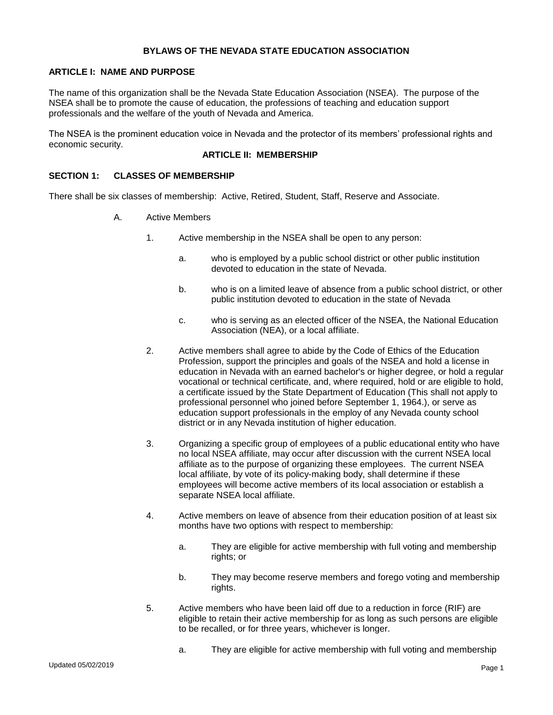### **BYLAWS OF THE NEVADA STATE EDUCATION ASSOCIATION**

### **ARTICLE I: NAME AND PURPOSE**

The name of this organization shall be the Nevada State Education Association (NSEA). The purpose of the NSEA shall be to promote the cause of education, the professions of teaching and education support professionals and the welfare of the youth of Nevada and America.

The NSEA is the prominent education voice in Nevada and the protector of its members' professional rights and economic security.

### **ARTICLE II: MEMBERSHIP**

### **SECTION 1: CLASSES OF MEMBERSHIP**

There shall be six classes of membership: Active, Retired, Student, Staff, Reserve and Associate.

- A. Active Members
	- 1. Active membership in the NSEA shall be open to any person:
		- a. who is employed by a public school district or other public institution devoted to education in the state of Nevada.
		- b. who is on a limited leave of absence from a public school district, or other public institution devoted to education in the state of Nevada
		- c. who is serving as an elected officer of the NSEA, the National Education Association (NEA), or a local affiliate.
	- 2. Active members shall agree to abide by the Code of Ethics of the Education Profession, support the principles and goals of the NSEA and hold a license in education in Nevada with an earned bachelor's or higher degree, or hold a regular vocational or technical certificate, and, where required, hold or are eligible to hold, a certificate issued by the State Department of Education (This shall not apply to professional personnel who joined before September 1, 1964.), or serve as education support professionals in the employ of any Nevada county school district or in any Nevada institution of higher education.
	- 3. Organizing a specific group of employees of a public educational entity who have no local NSEA affiliate, may occur after discussion with the current NSEA local affiliate as to the purpose of organizing these employees. The current NSEA local affiliate, by vote of its policy-making body, shall determine if these employees will become active members of its local association or establish a separate NSEA local affiliate.
	- 4. Active members on leave of absence from their education position of at least six months have two options with respect to membership:
		- a. They are eligible for active membership with full voting and membership rights; or
		- b. They may become reserve members and forego voting and membership rights.
	- 5. Active members who have been laid off due to a reduction in force (RIF) are eligible to retain their active membership for as long as such persons are eligible to be recalled, or for three years, whichever is longer.
		- a. They are eligible for active membership with full voting and membership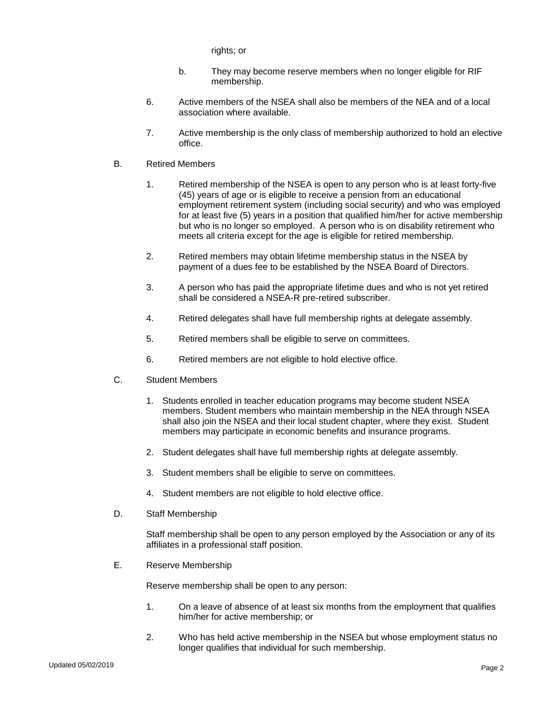rights; or

- b. They may become reserve members when no longer eligible for RIF membership.
- 6. Active members of the NSEA shall also be members of the NEA and of a local association where available.
- 7. Active membership is the only class of membership authorized to hold an elective office.
- B. Retired Members
	- 1. Retired membership of the NSEA is open to any person who is at least forty-five (45) years of age or is eligible to receive a pension from an educational employment retirement system (including social security) and who was employed for at least five (5) years in a position that qualified him/her for active membership but who is no longer so employed. A person who is on disability retirement who meets all criteria except for the age is eligible for retired membership.
	- 2. Retired members may obtain lifetime membership status in the NSEA by payment of a dues fee to be established by the NSEA Board of Directors.
	- 3. A person who has paid the appropriate lifetime dues and who is not yet retired shall be considered a NSEA-R pre-retired subscriber.
	- 4. Retired delegates shall have full membership rights at delegate assembly.
	- 5. Retired members shall be eligible to serve on committees.
	- 6. Retired members are not eligible to hold elective office.
- C. Student Members
	- 1. Students enrolled in teacher education programs may become student NSEA members. Student members who maintain membership in the NEA through NSEA shall also join the NSEA and their local student chapter, where they exist. Student members may participate in economic benefits and insurance programs.
	- 2. Student delegates shall have full membership rights at delegate assembly.
	- 3. Student members shall be eligible to serve on committees.
	- 4. Student members are not eligible to hold elective office.
- D. Staff Membership

Staff membership shall be open to any person employed by the Association or any of its affiliates in a professional staff position.

E. Reserve Membership

Reserve membership shall be open to any person:

- 1. On a leave of absence of at least six months from the employment that qualifies him/her for active membership; or
- 2. Who has held active membership in the NSEA but whose employment status no longer qualifies that individual for such membership.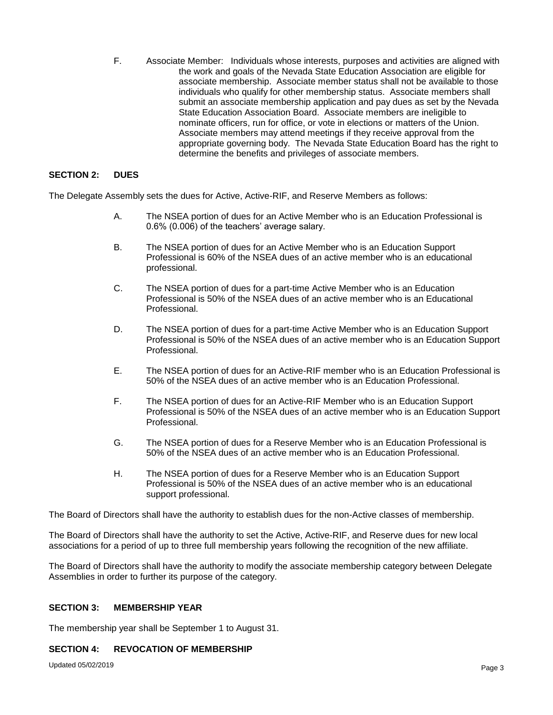F. Associate Member: Individuals whose interests, purposes and activities are aligned with the work and goals of the Nevada State Education Association are eligible for associate membership. Associate member status shall not be available to those individuals who qualify for other membership status. Associate members shall submit an associate membership application and pay dues as set by the Nevada State Education Association Board. Associate members are ineligible to nominate officers, run for office, or vote in elections or matters of the Union. Associate members may attend meetings if they receive approval from the appropriate governing body. The Nevada State Education Board has the right to determine the benefits and privileges of associate members.

### **SECTION 2: DUES**

The Delegate Assembly sets the dues for Active, Active-RIF, and Reserve Members as follows:

- A. The NSEA portion of dues for an Active Member who is an Education Professional is 0.6% (0.006) of the teachers' average salary.
- B. The NSEA portion of dues for an Active Member who is an Education Support Professional is 60% of the NSEA dues of an active member who is an educational professional.
- C. The NSEA portion of dues for a part-time Active Member who is an Education Professional is 50% of the NSEA dues of an active member who is an Educational Professional.
- D. The NSEA portion of dues for a part-time Active Member who is an Education Support Professional is 50% of the NSEA dues of an active member who is an Education Support Professional.
- E. The NSEA portion of dues for an Active-RIF member who is an Education Professional is 50% of the NSEA dues of an active member who is an Education Professional.
- F. The NSEA portion of dues for an Active-RIF Member who is an Education Support Professional is 50% of the NSEA dues of an active member who is an Education Support Professional.
- G. The NSEA portion of dues for a Reserve Member who is an Education Professional is 50% of the NSEA dues of an active member who is an Education Professional.
- H. The NSEA portion of dues for a Reserve Member who is an Education Support Professional is 50% of the NSEA dues of an active member who is an educational support professional.

The Board of Directors shall have the authority to establish dues for the non-Active classes of membership.

The Board of Directors shall have the authority to set the Active, Active-RIF, and Reserve dues for new local associations for a period of up to three full membership years following the recognition of the new affiliate.

The Board of Directors shall have the authority to modify the associate membership category between Delegate Assemblies in order to further its purpose of the category.

#### **SECTION 3: MEMBERSHIP YEAR**

The membership year shall be September 1 to August 31.

#### **SECTION 4: REVOCATION OF MEMBERSHIP**

Updated 05/02/2019 Page 3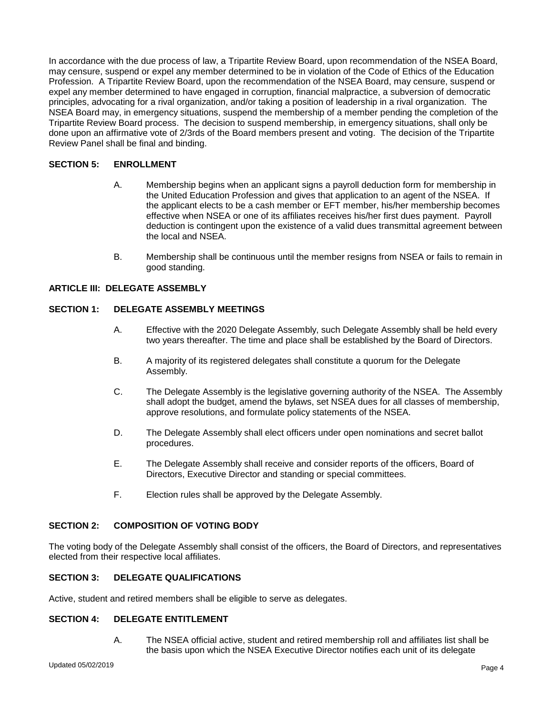In accordance with the due process of law, a Tripartite Review Board, upon recommendation of the NSEA Board, may censure, suspend or expel any member determined to be in violation of the Code of Ethics of the Education Profession. A Tripartite Review Board, upon the recommendation of the NSEA Board, may censure, suspend or expel any member determined to have engaged in corruption, financial malpractice, a subversion of democratic principles, advocating for a rival organization, and/or taking a position of leadership in a rival organization. The NSEA Board may, in emergency situations, suspend the membership of a member pending the completion of the Tripartite Review Board process. The decision to suspend membership, in emergency situations, shall only be done upon an affirmative vote of 2/3rds of the Board members present and voting. The decision of the Tripartite Review Panel shall be final and binding.

# **SECTION 5: ENROLLMENT**

- A. Membership begins when an applicant signs a payroll deduction form for membership in the United Education Profession and gives that application to an agent of the NSEA. If the applicant elects to be a cash member or EFT member, his/her membership becomes effective when NSEA or one of its affiliates receives his/her first dues payment. Payroll deduction is contingent upon the existence of a valid dues transmittal agreement between the local and NSEA.
- B. Membership shall be continuous until the member resigns from NSEA or fails to remain in good standing.

# **ARTICLE III: DELEGATE ASSEMBLY**

### **SECTION 1: DELEGATE ASSEMBLY MEETINGS**

- A. Effective with the 2020 Delegate Assembly, such Delegate Assembly shall be held every two years thereafter. The time and place shall be established by the Board of Directors.
- B. A majority of its registered delegates shall constitute a quorum for the Delegate Assembly.
- C. The Delegate Assembly is the legislative governing authority of the NSEA. The Assembly shall adopt the budget, amend the bylaws, set NSEA dues for all classes of membership, approve resolutions, and formulate policy statements of the NSEA.
- D. The Delegate Assembly shall elect officers under open nominations and secret ballot procedures.
- E. The Delegate Assembly shall receive and consider reports of the officers, Board of Directors, Executive Director and standing or special committees.
- F. Election rules shall be approved by the Delegate Assembly.

#### **SECTION 2: COMPOSITION OF VOTING BODY**

The voting body of the Delegate Assembly shall consist of the officers, the Board of Directors, and representatives elected from their respective local affiliates.

# **SECTION 3: DELEGATE QUALIFICATIONS**

Active, student and retired members shall be eligible to serve as delegates.

# **SECTION 4: DELEGATE ENTITLEMENT**

A. The NSEA official active, student and retired membership roll and affiliates list shall be the basis upon which the NSEA Executive Director notifies each unit of its delegate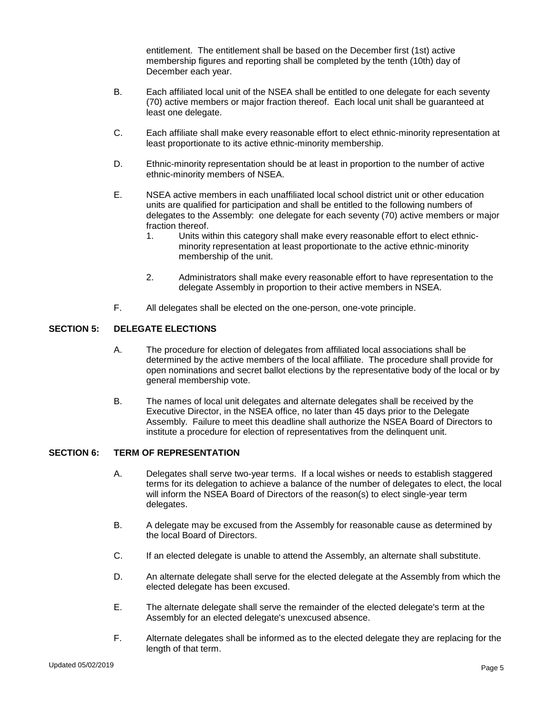entitlement. The entitlement shall be based on the December first (1st) active membership figures and reporting shall be completed by the tenth (10th) day of December each year.

- B. Each affiliated local unit of the NSEA shall be entitled to one delegate for each seventy (70) active members or major fraction thereof. Each local unit shall be guaranteed at least one delegate.
- C. Each affiliate shall make every reasonable effort to elect ethnic-minority representation at least proportionate to its active ethnic-minority membership.
- D. Ethnic-minority representation should be at least in proportion to the number of active ethnic-minority members of NSEA.
- E. NSEA active members in each unaffiliated local school district unit or other education units are qualified for participation and shall be entitled to the following numbers of delegates to the Assembly: one delegate for each seventy (70) active members or major fraction thereof.
	- 1. Units within this category shall make every reasonable effort to elect ethnicminority representation at least proportionate to the active ethnic-minority membership of the unit.
	- 2. Administrators shall make every reasonable effort to have representation to the delegate Assembly in proportion to their active members in NSEA.
- F. All delegates shall be elected on the one-person, one-vote principle.

# **SECTION 5: DELEGATE ELECTIONS**

- A. The procedure for election of delegates from affiliated local associations shall be determined by the active members of the local affiliate. The procedure shall provide for open nominations and secret ballot elections by the representative body of the local or by general membership vote.
- B. The names of local unit delegates and alternate delegates shall be received by the Executive Director, in the NSEA office, no later than 45 days prior to the Delegate Assembly. Failure to meet this deadline shall authorize the NSEA Board of Directors to institute a procedure for election of representatives from the delinquent unit.

#### **SECTION 6: TERM OF REPRESENTATION**

- A. Delegates shall serve two-year terms. If a local wishes or needs to establish staggered terms for its delegation to achieve a balance of the number of delegates to elect, the local will inform the NSEA Board of Directors of the reason(s) to elect single-year term delegates.
- B. A delegate may be excused from the Assembly for reasonable cause as determined by the local Board of Directors.
- C. If an elected delegate is unable to attend the Assembly, an alternate shall substitute.
- D. An alternate delegate shall serve for the elected delegate at the Assembly from which the elected delegate has been excused.
- E. The alternate delegate shall serve the remainder of the elected delegate's term at the Assembly for an elected delegate's unexcused absence.
- F. Alternate delegates shall be informed as to the elected delegate they are replacing for the length of that term.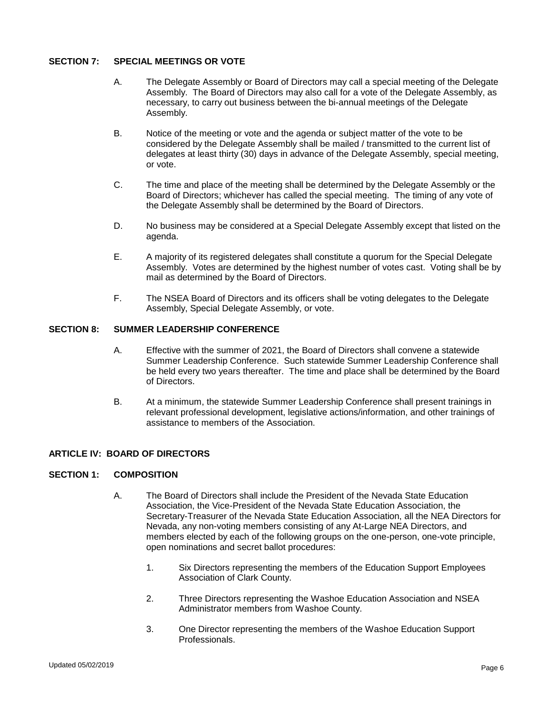### **SECTION 7: SPECIAL MEETINGS OR VOTE**

- A. The Delegate Assembly or Board of Directors may call a special meeting of the Delegate Assembly. The Board of Directors may also call for a vote of the Delegate Assembly, as necessary, to carry out business between the bi-annual meetings of the Delegate Assembly.
- B. Notice of the meeting or vote and the agenda or subject matter of the vote to be considered by the Delegate Assembly shall be mailed / transmitted to the current list of delegates at least thirty (30) days in advance of the Delegate Assembly, special meeting, or vote.
- C. The time and place of the meeting shall be determined by the Delegate Assembly or the Board of Directors; whichever has called the special meeting. The timing of any vote of the Delegate Assembly shall be determined by the Board of Directors.
- D. No business may be considered at a Special Delegate Assembly except that listed on the agenda.
- E. A majority of its registered delegates shall constitute a quorum for the Special Delegate Assembly. Votes are determined by the highest number of votes cast. Voting shall be by mail as determined by the Board of Directors.
- F. The NSEA Board of Directors and its officers shall be voting delegates to the Delegate Assembly, Special Delegate Assembly, or vote.

#### **SECTION 8: SUMMER LEADERSHIP CONFERENCE**

- A. Effective with the summer of 2021, the Board of Directors shall convene a statewide Summer Leadership Conference. Such statewide Summer Leadership Conference shall be held every two years thereafter. The time and place shall be determined by the Board of Directors.
- B. At a minimum, the statewide Summer Leadership Conference shall present trainings in relevant professional development, legislative actions/information, and other trainings of assistance to members of the Association.

# **ARTICLE IV: BOARD OF DIRECTORS**

#### **SECTION 1: COMPOSITION**

- A. The Board of Directors shall include the President of the Nevada State Education Association, the Vice-President of the Nevada State Education Association, the Secretary-Treasurer of the Nevada State Education Association, all the NEA Directors for Nevada, any non-voting members consisting of any At-Large NEA Directors, and members elected by each of the following groups on the one-person, one-vote principle, open nominations and secret ballot procedures:
	- 1. Six Directors representing the members of the Education Support Employees Association of Clark County.
	- 2. Three Directors representing the Washoe Education Association and NSEA Administrator members from Washoe County.
	- 3. One Director representing the members of the Washoe Education Support Professionals.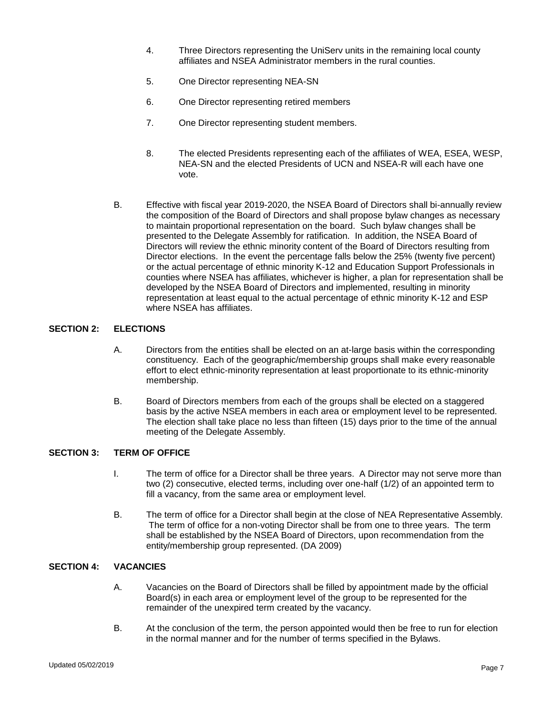- 4. Three Directors representing the UniServ units in the remaining local county affiliates and NSEA Administrator members in the rural counties.
- 5. One Director representing NEA-SN
- 6. One Director representing retired members
- 7. One Director representing student members.
- 8. The elected Presidents representing each of the affiliates of WEA, ESEA, WESP, NEA-SN and the elected Presidents of UCN and NSEA-R will each have one vote.
- B. Effective with fiscal year 2019-2020, the NSEA Board of Directors shall bi-annually review the composition of the Board of Directors and shall propose bylaw changes as necessary to maintain proportional representation on the board. Such bylaw changes shall be presented to the Delegate Assembly for ratification. In addition, the NSEA Board of Directors will review the ethnic minority content of the Board of Directors resulting from Director elections. In the event the percentage falls below the 25% (twenty five percent) or the actual percentage of ethnic minority K-12 and Education Support Professionals in counties where NSEA has affiliates, whichever is higher, a plan for representation shall be developed by the NSEA Board of Directors and implemented, resulting in minority representation at least equal to the actual percentage of ethnic minority K-12 and ESP where NSEA has affiliates.

### **SECTION 2: ELECTIONS**

- A. Directors from the entities shall be elected on an at-large basis within the corresponding constituency. Each of the geographic/membership groups shall make every reasonable effort to elect ethnic-minority representation at least proportionate to its ethnic-minority membership.
- B. Board of Directors members from each of the groups shall be elected on a staggered basis by the active NSEA members in each area or employment level to be represented. The election shall take place no less than fifteen (15) days prior to the time of the annual meeting of the Delegate Assembly.

#### **SECTION 3: TERM OF OFFICE**

- I. The term of office for a Director shall be three years. A Director may not serve more than two (2) consecutive, elected terms, including over one-half (1/2) of an appointed term to fill a vacancy, from the same area or employment level.
- B. The term of office for a Director shall begin at the close of NEA Representative Assembly. The term of office for a non-voting Director shall be from one to three years. The term shall be established by the NSEA Board of Directors, upon recommendation from the entity/membership group represented. (DA 2009)

### **SECTION 4: VACANCIES**

- A. Vacancies on the Board of Directors shall be filled by appointment made by the official Board(s) in each area or employment level of the group to be represented for the remainder of the unexpired term created by the vacancy.
- B. At the conclusion of the term, the person appointed would then be free to run for election in the normal manner and for the number of terms specified in the Bylaws.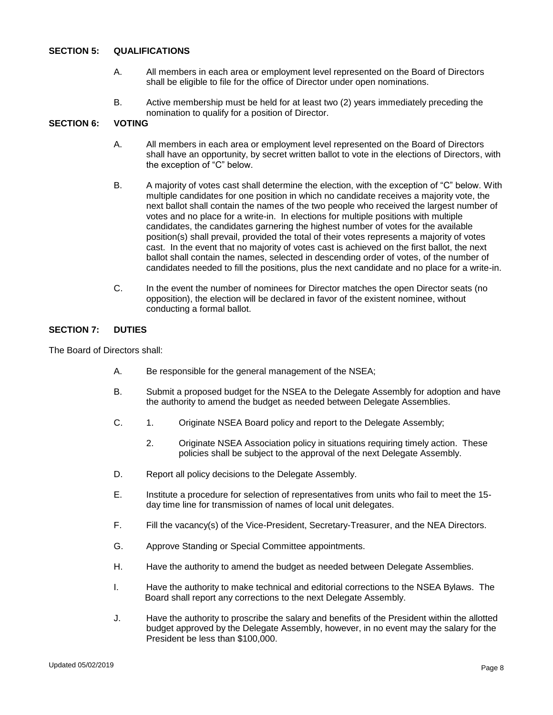### **SECTION 5: QUALIFICATIONS**

- A. All members in each area or employment level represented on the Board of Directors shall be eligible to file for the office of Director under open nominations.
- B. Active membership must be held for at least two (2) years immediately preceding the nomination to qualify for a position of Director.

### **SECTION 6: VOTING**

- A. All members in each area or employment level represented on the Board of Directors shall have an opportunity, by secret written ballot to vote in the elections of Directors, with the exception of "C" below.
- B. A majority of votes cast shall determine the election, with the exception of "C" below. With multiple candidates for one position in which no candidate receives a majority vote, the next ballot shall contain the names of the two people who received the largest number of votes and no place for a write-in. In elections for multiple positions with multiple candidates, the candidates garnering the highest number of votes for the available position(s) shall prevail, provided the total of their votes represents a majority of votes cast. In the event that no majority of votes cast is achieved on the first ballot, the next ballot shall contain the names, selected in descending order of votes, of the number of candidates needed to fill the positions, plus the next candidate and no place for a write-in.
- C. In the event the number of nominees for Director matches the open Director seats (no opposition), the election will be declared in favor of the existent nominee, without conducting a formal ballot.

#### **SECTION 7: DUTIES**

The Board of Directors shall:

- A. Be responsible for the general management of the NSEA;
- B. Submit a proposed budget for the NSEA to the Delegate Assembly for adoption and have the authority to amend the budget as needed between Delegate Assemblies.
- C. 1. Originate NSEA Board policy and report to the Delegate Assembly;
	- 2. Originate NSEA Association policy in situations requiring timely action. These policies shall be subject to the approval of the next Delegate Assembly.
- D. Report all policy decisions to the Delegate Assembly.
- E. Institute a procedure for selection of representatives from units who fail to meet the 15 day time line for transmission of names of local unit delegates.
- F. Fill the vacancy(s) of the Vice-President, Secretary-Treasurer, and the NEA Directors.
- G. Approve Standing or Special Committee appointments.
- H. Have the authority to amend the budget as needed between Delegate Assemblies.
- I. Have the authority to make technical and editorial corrections to the NSEA Bylaws. The Board shall report any corrections to the next Delegate Assembly.
- J. Have the authority to proscribe the salary and benefits of the President within the allotted budget approved by the Delegate Assembly, however, in no event may the salary for the President be less than \$100,000.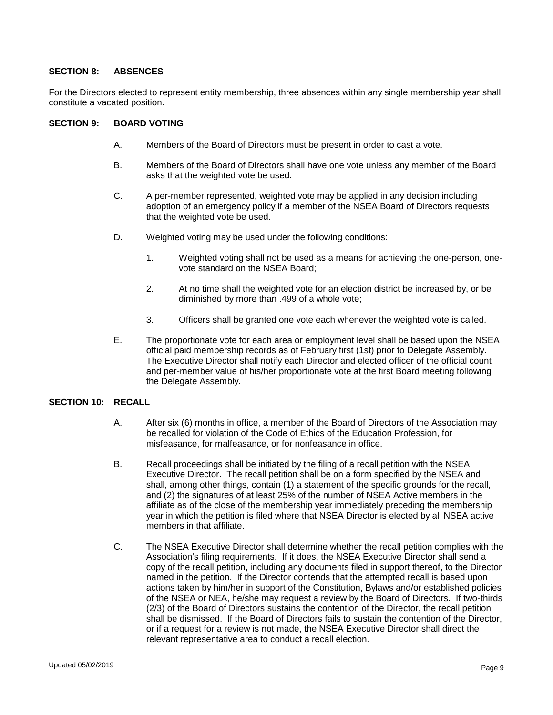#### **SECTION 8: ABSENCES**

For the Directors elected to represent entity membership, three absences within any single membership year shall constitute a vacated position.

#### **SECTION 9: BOARD VOTING**

- A. Members of the Board of Directors must be present in order to cast a vote.
- B. Members of the Board of Directors shall have one vote unless any member of the Board asks that the weighted vote be used.
- C. A per-member represented, weighted vote may be applied in any decision including adoption of an emergency policy if a member of the NSEA Board of Directors requests that the weighted vote be used.
- D. Weighted voting may be used under the following conditions:
	- 1. Weighted voting shall not be used as a means for achieving the one-person, onevote standard on the NSEA Board;
	- 2. At no time shall the weighted vote for an election district be increased by, or be diminished by more than .499 of a whole vote;
	- 3. Officers shall be granted one vote each whenever the weighted vote is called.
- E. The proportionate vote for each area or employment level shall be based upon the NSEA official paid membership records as of February first (1st) prior to Delegate Assembly. The Executive Director shall notify each Director and elected officer of the official count and per-member value of his/her proportionate vote at the first Board meeting following the Delegate Assembly.

### **SECTION 10: RECALL**

- A. After six (6) months in office, a member of the Board of Directors of the Association may be recalled for violation of the Code of Ethics of the Education Profession, for misfeasance, for malfeasance, or for nonfeasance in office.
- B. Recall proceedings shall be initiated by the filing of a recall petition with the NSEA Executive Director. The recall petition shall be on a form specified by the NSEA and shall, among other things, contain (1) a statement of the specific grounds for the recall, and (2) the signatures of at least 25% of the number of NSEA Active members in the affiliate as of the close of the membership year immediately preceding the membership year in which the petition is filed where that NSEA Director is elected by all NSEA active members in that affiliate.
- C. The NSEA Executive Director shall determine whether the recall petition complies with the Association's filing requirements. If it does, the NSEA Executive Director shall send a copy of the recall petition, including any documents filed in support thereof, to the Director named in the petition. If the Director contends that the attempted recall is based upon actions taken by him/her in support of the Constitution, Bylaws and/or established policies of the NSEA or NEA, he/she may request a review by the Board of Directors. If two-thirds (2/3) of the Board of Directors sustains the contention of the Director, the recall petition shall be dismissed. If the Board of Directors fails to sustain the contention of the Director, or if a request for a review is not made, the NSEA Executive Director shall direct the relevant representative area to conduct a recall election.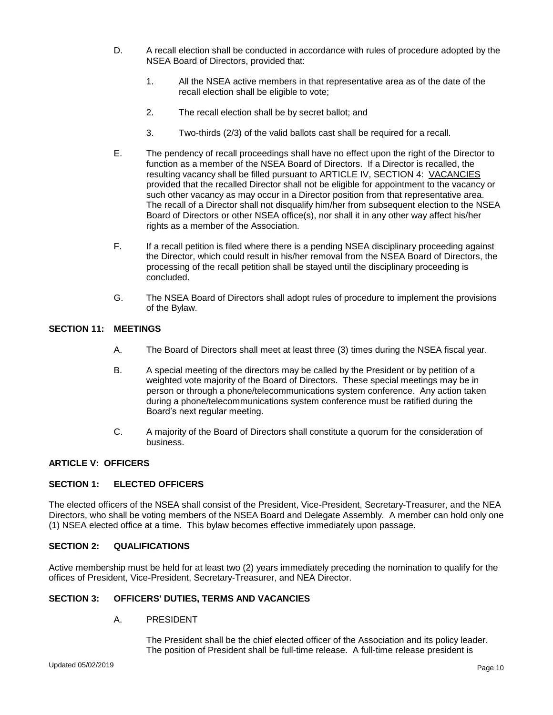- D. A recall election shall be conducted in accordance with rules of procedure adopted by the NSEA Board of Directors, provided that:
	- 1. All the NSEA active members in that representative area as of the date of the recall election shall be eligible to vote;
	- 2. The recall election shall be by secret ballot; and
	- 3. Two-thirds (2/3) of the valid ballots cast shall be required for a recall.
- E. The pendency of recall proceedings shall have no effect upon the right of the Director to function as a member of the NSEA Board of Directors. If a Director is recalled, the resulting vacancy shall be filled pursuant to ARTICLE IV, SECTION 4: VACANCIES provided that the recalled Director shall not be eligible for appointment to the vacancy or such other vacancy as may occur in a Director position from that representative area. The recall of a Director shall not disqualify him/her from subsequent election to the NSEA Board of Directors or other NSEA office(s), nor shall it in any other way affect his/her rights as a member of the Association.
- F. If a recall petition is filed where there is a pending NSEA disciplinary proceeding against the Director, which could result in his/her removal from the NSEA Board of Directors, the processing of the recall petition shall be stayed until the disciplinary proceeding is concluded.
- G. The NSEA Board of Directors shall adopt rules of procedure to implement the provisions of the Bylaw.

### **SECTION 11: MEETINGS**

- A. The Board of Directors shall meet at least three (3) times during the NSEA fiscal year.
- B. A special meeting of the directors may be called by the President or by petition of a weighted vote majority of the Board of Directors. These special meetings may be in person or through a phone/telecommunications system conference. Any action taken during a phone/telecommunications system conference must be ratified during the Board's next regular meeting.
- C. A majority of the Board of Directors shall constitute a quorum for the consideration of business.

### **ARTICLE V: OFFICERS**

#### **SECTION 1: ELECTED OFFICERS**

The elected officers of the NSEA shall consist of the President, Vice-President, Secretary-Treasurer, and the NEA Directors, who shall be voting members of the NSEA Board and Delegate Assembly. A member can hold only one (1) NSEA elected office at a time. This bylaw becomes effective immediately upon passage.

### **SECTION 2: QUALIFICATIONS**

Active membership must be held for at least two (2) years immediately preceding the nomination to qualify for the offices of President, Vice-President, Secretary-Treasurer, and NEA Director.

#### **SECTION 3: OFFICERS' DUTIES, TERMS AND VACANCIES**

A. PRESIDENT

The President shall be the chief elected officer of the Association and its policy leader. The position of President shall be full-time release. A full-time release president is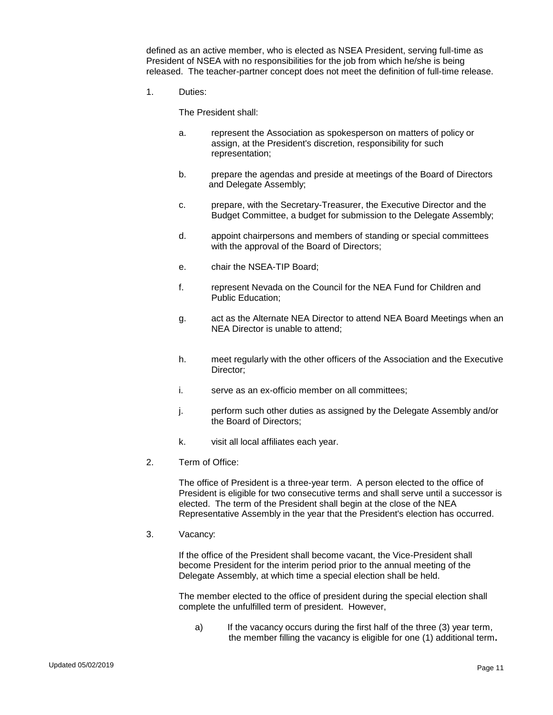defined as an active member, who is elected as NSEA President, serving full-time as President of NSEA with no responsibilities for the job from which he/she is being released. The teacher-partner concept does not meet the definition of full-time release.

1. Duties:

The President shall:

- a. represent the Association as spokesperson on matters of policy or assign, at the President's discretion, responsibility for such representation;
- b. prepare the agendas and preside at meetings of the Board of Directors and Delegate Assembly;
- c. prepare, with the Secretary-Treasurer, the Executive Director and the Budget Committee, a budget for submission to the Delegate Assembly;
- d. appoint chairpersons and members of standing or special committees with the approval of the Board of Directors;
- e. chair the NSEA-TIP Board;
- f. represent Nevada on the Council for the NEA Fund for Children and Public Education;
- g. act as the Alternate NEA Director to attend NEA Board Meetings when an NEA Director is unable to attend;
- h. meet regularly with the other officers of the Association and the Executive Director;
- i. serve as an ex-officio member on all committees;
- j. perform such other duties as assigned by the Delegate Assembly and/or the Board of Directors;
- k. visit all local affiliates each year.
- 2. Term of Office:

The office of President is a three-year term. A person elected to the office of President is eligible for two consecutive terms and shall serve until a successor is elected. The term of the President shall begin at the close of the NEA Representative Assembly in the year that the President's election has occurred.

3. Vacancy:

If the office of the President shall become vacant, the Vice-President shall become President for the interim period prior to the annual meeting of the Delegate Assembly, at which time a special election shall be held.

The member elected to the office of president during the special election shall complete the unfulfilled term of president. However,

a) If the vacancy occurs during the first half of the three (3) year term, the member filling the vacancy is eligible for one (1) additional term**.**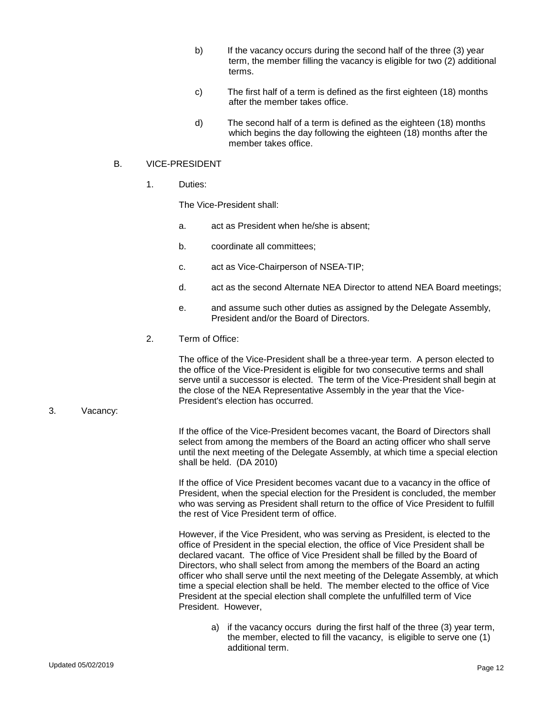- b) If the vacancy occurs during the second half of the three (3) year term, the member filling the vacancy is eligible for two (2) additional terms.
- c) The first half of a term is defined as the first eighteen (18) months after the member takes office.
- d) The second half of a term is defined as the eighteen (18) months which begins the day following the eighteen (18) months after the member takes office.

#### B. VICE-PRESIDENT

1. Duties:

The Vice-President shall:

- a. act as President when he/she is absent;
- b. coordinate all committees;
- c. act as Vice-Chairperson of NSEA-TIP;
- d. act as the second Alternate NEA Director to attend NEA Board meetings;
- e. and assume such other duties as assigned by the Delegate Assembly, President and/or the Board of Directors.
- 2. Term of Office:

The office of the Vice-President shall be a three-year term. A person elected to the office of the Vice-President is eligible for two consecutive terms and shall serve until a successor is elected. The term of the Vice-President shall begin at the close of the NEA Representative Assembly in the year that the Vice-President's election has occurred.

#### 3. Vacancy:

If the office of the Vice-President becomes vacant, the Board of Directors shall select from among the members of the Board an acting officer who shall serve until the next meeting of the Delegate Assembly, at which time a special election shall be held. (DA 2010)

If the office of Vice President becomes vacant due to a vacancy in the office of President, when the special election for the President is concluded, the member who was serving as President shall return to the office of Vice President to fulfill the rest of Vice President term of office.

However, if the Vice President, who was serving as President, is elected to the office of President in the special election, the office of Vice President shall be declared vacant. The office of Vice President shall be filled by the Board of Directors, who shall select from among the members of the Board an acting officer who shall serve until the next meeting of the Delegate Assembly, at which time a special election shall be held. The member elected to the office of Vice President at the special election shall complete the unfulfilled term of Vice President. However,

a) if the vacancy occurs during the first half of the three (3) year term, the member, elected to fill the vacancy, is eligible to serve one (1) additional term.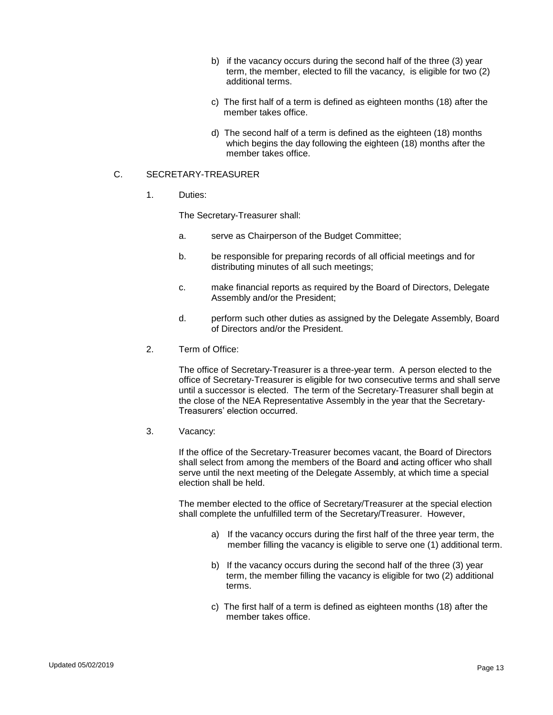- b) if the vacancy occurs during the second half of the three (3) year term, the member, elected to fill the vacancy, is eligible for two (2) additional terms.
- c) The first half of a term is defined as eighteen months (18) after the member takes office.
- d) The second half of a term is defined as the eighteen (18) months which begins the day following the eighteen (18) months after the member takes office.

### C. SECRETARY-TREASURER

1. Duties:

The Secretary-Treasurer shall:

- a. serve as Chairperson of the Budget Committee;
- b. be responsible for preparing records of all official meetings and for distributing minutes of all such meetings;
- c. make financial reports as required by the Board of Directors, Delegate Assembly and/or the President;
- d. perform such other duties as assigned by the Delegate Assembly, Board of Directors and/or the President.
- 2. Term of Office:

The office of Secretary-Treasurer is a three-year term. A person elected to the office of Secretary-Treasurer is eligible for two consecutive terms and shall serve until a successor is elected. The term of the Secretary-Treasurer shall begin at the close of the NEA Representative Assembly in the year that the Secretary-Treasurers' election occurred.

3. Vacancy:

If the office of the Secretary-Treasurer becomes vacant, the Board of Directors shall select from among the members of the Board and acting officer who shall serve until the next meeting of the Delegate Assembly, at which time a special election shall be held.

The member elected to the office of Secretary/Treasurer at the special election shall complete the unfulfilled term of the Secretary/Treasurer. However,

- a) If the vacancy occurs during the first half of the three year term, the member filling the vacancy is eligible to serve one (1) additional term.
- b) If the vacancy occurs during the second half of the three (3) year term, the member filling the vacancy is eligible for two (2) additional terms.
- c) The first half of a term is defined as eighteen months (18) after the member takes office.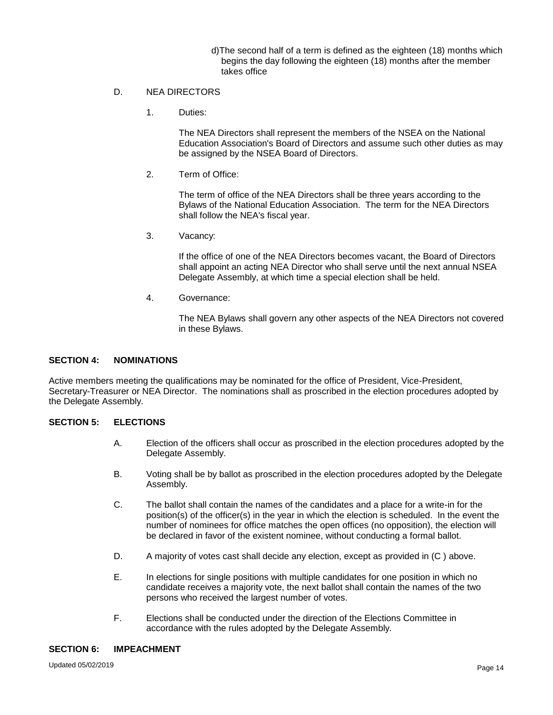- d)The second half of a term is defined as the eighteen (18) months which begins the day following the eighteen (18) months after the member takes office
- D. NEA DIRECTORS
	- 1. Duties:

The NEA Directors shall represent the members of the NSEA on the National Education Association's Board of Directors and assume such other duties as may be assigned by the NSEA Board of Directors.

2. Term of Office:

The term of office of the NEA Directors shall be three years according to the Bylaws of the National Education Association. The term for the NEA Directors shall follow the NEA's fiscal year.

3. Vacancy:

If the office of one of the NEA Directors becomes vacant, the Board of Directors shall appoint an acting NEA Director who shall serve until the next annual NSEA Delegate Assembly, at which time a special election shall be held.

4. Governance:

The NEA Bylaws shall govern any other aspects of the NEA Directors not covered in these Bylaws.

#### **SECTION 4: NOMINATIONS**

Active members meeting the qualifications may be nominated for the office of President, Vice-President, Secretary-Treasurer or NEA Director. The nominations shall as proscribed in the election procedures adopted by the Delegate Assembly.

### **SECTION 5: ELECTIONS**

- A. Election of the officers shall occur as proscribed in the election procedures adopted by the Delegate Assembly.
- B. Voting shall be by ballot as proscribed in the election procedures adopted by the Delegate Assembly.
- C. The ballot shall contain the names of the candidates and a place for a write-in for the position(s) of the officer(s) in the year in which the election is scheduled. In the event the number of nominees for office matches the open offices (no opposition), the election will be declared in favor of the existent nominee, without conducting a formal ballot.
- D. A majority of votes cast shall decide any election, except as provided in (C ) above.
- E. In elections for single positions with multiple candidates for one position in which no candidate receives a majority vote, the next ballot shall contain the names of the two persons who received the largest number of votes.
- F. Elections shall be conducted under the direction of the Elections Committee in accordance with the rules adopted by the Delegate Assembly.

#### **SECTION 6: IMPEACHMENT**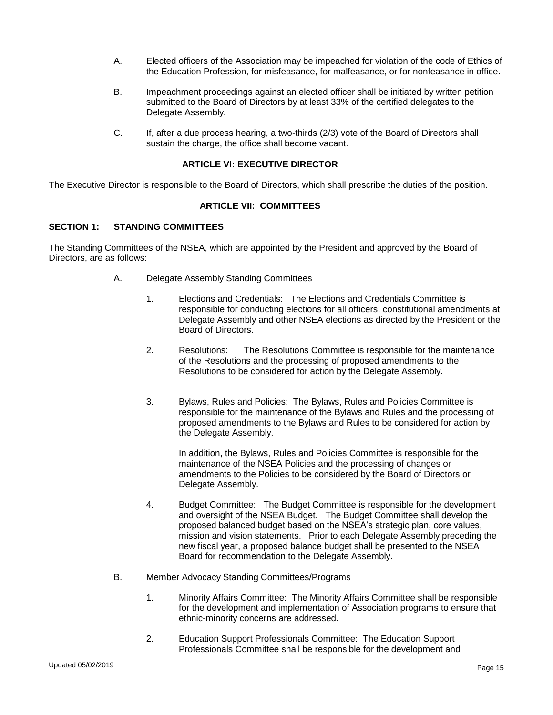- A. Elected officers of the Association may be impeached for violation of the code of Ethics of the Education Profession, for misfeasance, for malfeasance, or for nonfeasance in office.
- B. Impeachment proceedings against an elected officer shall be initiated by written petition submitted to the Board of Directors by at least 33% of the certified delegates to the Delegate Assembly.
- C. If, after a due process hearing, a two-thirds (2/3) vote of the Board of Directors shall sustain the charge, the office shall become vacant.

### **ARTICLE VI: EXECUTIVE DIRECTOR**

The Executive Director is responsible to the Board of Directors, which shall prescribe the duties of the position.

#### **ARTICLE VII: COMMITTEES**

#### **SECTION 1: STANDING COMMITTEES**

The Standing Committees of the NSEA, which are appointed by the President and approved by the Board of Directors, are as follows:

- A. Delegate Assembly Standing Committees
	- 1. Elections and Credentials: The Elections and Credentials Committee is responsible for conducting elections for all officers, constitutional amendments at Delegate Assembly and other NSEA elections as directed by the President or the Board of Directors.
	- 2. Resolutions: The Resolutions Committee is responsible for the maintenance of the Resolutions and the processing of proposed amendments to the Resolutions to be considered for action by the Delegate Assembly.
	- 3. Bylaws, Rules and Policies: The Bylaws, Rules and Policies Committee is responsible for the maintenance of the Bylaws and Rules and the processing of proposed amendments to the Bylaws and Rules to be considered for action by the Delegate Assembly.

In addition, the Bylaws, Rules and Policies Committee is responsible for the maintenance of the NSEA Policies and the processing of changes or amendments to the Policies to be considered by the Board of Directors or Delegate Assembly.

- 4. Budget Committee: The Budget Committee is responsible for the development and oversight of the NSEA Budget. The Budget Committee shall develop the proposed balanced budget based on the NSEA's strategic plan, core values, mission and vision statements. Prior to each Delegate Assembly preceding the new fiscal year, a proposed balance budget shall be presented to the NSEA Board for recommendation to the Delegate Assembly.
- B. Member Advocacy Standing Committees/Programs
	- 1. Minority Affairs Committee: The Minority Affairs Committee shall be responsible for the development and implementation of Association programs to ensure that ethnic-minority concerns are addressed.
	- 2. Education Support Professionals Committee: The Education Support Professionals Committee shall be responsible for the development and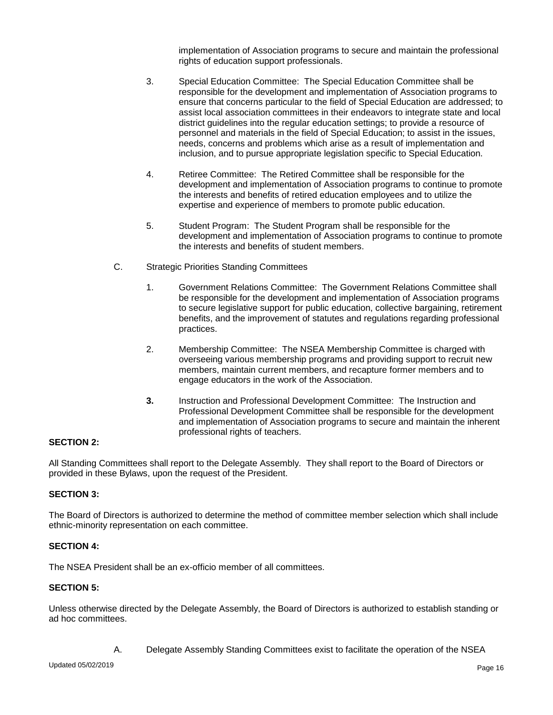implementation of Association programs to secure and maintain the professional rights of education support professionals.

- 3. Special Education Committee: The Special Education Committee shall be responsible for the development and implementation of Association programs to ensure that concerns particular to the field of Special Education are addressed; to assist local association committees in their endeavors to integrate state and local district guidelines into the regular education settings; to provide a resource of personnel and materials in the field of Special Education; to assist in the issues, needs, concerns and problems which arise as a result of implementation and inclusion, and to pursue appropriate legislation specific to Special Education.
- 4. Retiree Committee: The Retired Committee shall be responsible for the development and implementation of Association programs to continue to promote the interests and benefits of retired education employees and to utilize the expertise and experience of members to promote public education.
- 5. Student Program: The Student Program shall be responsible for the development and implementation of Association programs to continue to promote the interests and benefits of student members.
- C. Strategic Priorities Standing Committees
	- 1. Government Relations Committee: The Government Relations Committee shall be responsible for the development and implementation of Association programs to secure legislative support for public education, collective bargaining, retirement benefits, and the improvement of statutes and regulations regarding professional practices.
	- 2. Membership Committee: The NSEA Membership Committee is charged with overseeing various membership programs and providing support to recruit new members, maintain current members, and recapture former members and to engage educators in the work of the Association.
	- **3.** Instruction and Professional Development Committee: The Instruction and Professional Development Committee shall be responsible for the development and implementation of Association programs to secure and maintain the inherent professional rights of teachers.

### **SECTION 2:**

All Standing Committees shall report to the Delegate Assembly. They shall report to the Board of Directors or provided in these Bylaws, upon the request of the President.

#### **SECTION 3:**

The Board of Directors is authorized to determine the method of committee member selection which shall include ethnic-minority representation on each committee.

#### **SECTION 4:**

The NSEA President shall be an ex-officio member of all committees.

#### **SECTION 5:**

Unless otherwise directed by the Delegate Assembly, the Board of Directors is authorized to establish standing or ad hoc committees.

A. Delegate Assembly Standing Committees exist to facilitate the operation of the NSEA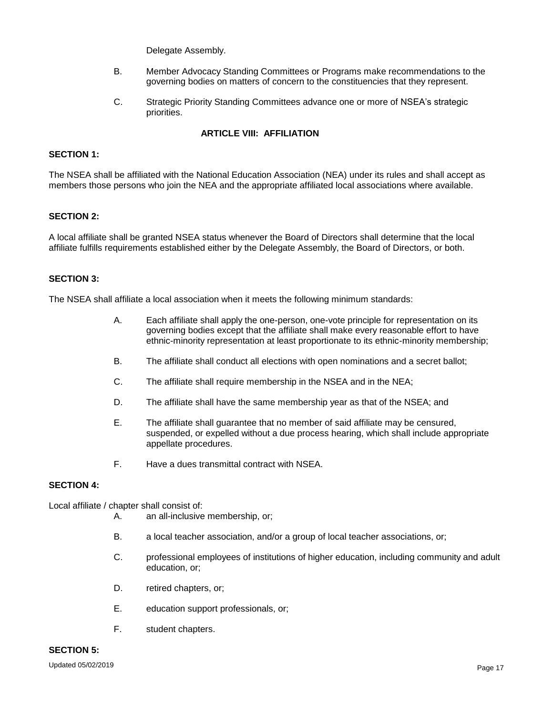Delegate Assembly.

- B. Member Advocacy Standing Committees or Programs make recommendations to the governing bodies on matters of concern to the constituencies that they represent.
- C. Strategic Priority Standing Committees advance one or more of NSEA's strategic priorities.

# **ARTICLE VIII: AFFILIATION**

### **SECTION 1:**

The NSEA shall be affiliated with the National Education Association (NEA) under its rules and shall accept as members those persons who join the NEA and the appropriate affiliated local associations where available.

#### **SECTION 2:**

A local affiliate shall be granted NSEA status whenever the Board of Directors shall determine that the local affiliate fulfills requirements established either by the Delegate Assembly, the Board of Directors, or both.

### **SECTION 3:**

The NSEA shall affiliate a local association when it meets the following minimum standards:

- A. Each affiliate shall apply the one-person, one-vote principle for representation on its governing bodies except that the affiliate shall make every reasonable effort to have ethnic-minority representation at least proportionate to its ethnic-minority membership;
- B. The affiliate shall conduct all elections with open nominations and a secret ballot;
- C. The affiliate shall require membership in the NSEA and in the NEA;
- D. The affiliate shall have the same membership year as that of the NSEA; and
- E. The affiliate shall guarantee that no member of said affiliate may be censured, suspended, or expelled without a due process hearing, which shall include appropriate appellate procedures.
- F. Have a dues transmittal contract with NSEA.

#### **SECTION 4:**

Local affiliate / chapter shall consist of:

- A. an all-inclusive membership, or;
- B. a local teacher association, and/or a group of local teacher associations, or;
- C. professional employees of institutions of higher education, including community and adult education, or;
- D. retired chapters, or;
- E. education support professionals, or;
- F. student chapters.

# **SECTION 5:**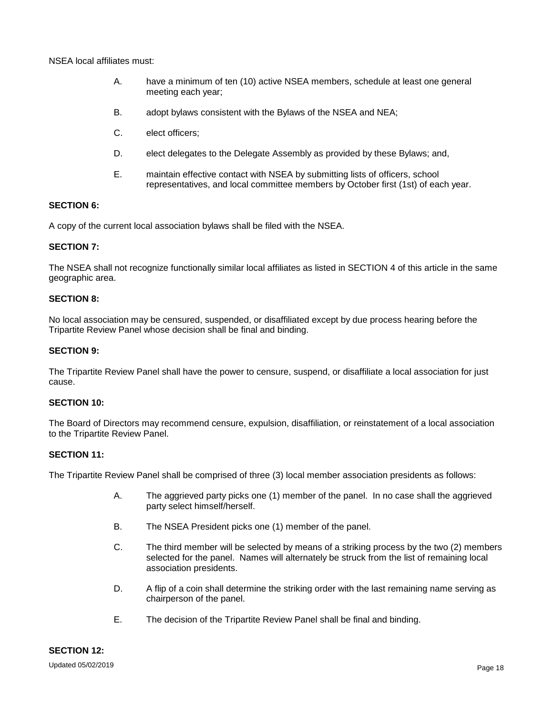NSEA local affiliates must:

- A. have a minimum of ten (10) active NSEA members, schedule at least one general meeting each year;
- B. adopt bylaws consistent with the Bylaws of the NSEA and NEA;
- C. elect officers;
- D. elect delegates to the Delegate Assembly as provided by these Bylaws; and,
- E. maintain effective contact with NSEA by submitting lists of officers, school representatives, and local committee members by October first (1st) of each year.

#### **SECTION 6:**

A copy of the current local association bylaws shall be filed with the NSEA.

#### **SECTION 7:**

The NSEA shall not recognize functionally similar local affiliates as listed in SECTION 4 of this article in the same geographic area.

### **SECTION 8:**

No local association may be censured, suspended, or disaffiliated except by due process hearing before the Tripartite Review Panel whose decision shall be final and binding.

#### **SECTION 9:**

The Tripartite Review Panel shall have the power to censure, suspend, or disaffiliate a local association for just cause.

#### **SECTION 10:**

The Board of Directors may recommend censure, expulsion, disaffiliation, or reinstatement of a local association to the Tripartite Review Panel.

#### **SECTION 11:**

The Tripartite Review Panel shall be comprised of three (3) local member association presidents as follows:

- A. The aggrieved party picks one (1) member of the panel. In no case shall the aggrieved party select himself/herself.
- B. The NSEA President picks one (1) member of the panel.
- C. The third member will be selected by means of a striking process by the two (2) members selected for the panel. Names will alternately be struck from the list of remaining local association presidents.
- D. A flip of a coin shall determine the striking order with the last remaining name serving as chairperson of the panel.
- E. The decision of the Tripartite Review Panel shall be final and binding.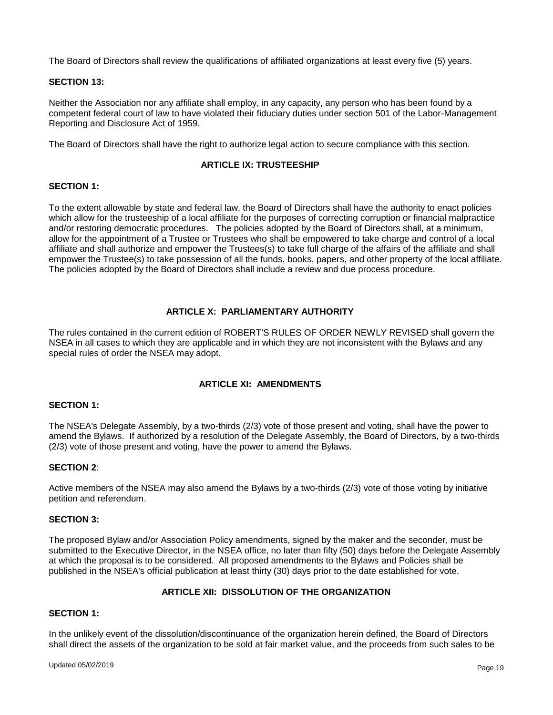The Board of Directors shall review the qualifications of affiliated organizations at least every five (5) years.

#### **SECTION 13:**

Neither the Association nor any affiliate shall employ, in any capacity, any person who has been found by a competent federal court of law to have violated their fiduciary duties under section 501 of the Labor-Management Reporting and Disclosure Act of 1959.

The Board of Directors shall have the right to authorize legal action to secure compliance with this section.

### **ARTICLE IX: TRUSTEESHIP**

#### **SECTION 1:**

To the extent allowable by state and federal law, the Board of Directors shall have the authority to enact policies which allow for the trusteeship of a local affiliate for the purposes of correcting corruption or financial malpractice and/or restoring democratic procedures. The policies adopted by the Board of Directors shall, at a minimum, allow for the appointment of a Trustee or Trustees who shall be empowered to take charge and control of a local affiliate and shall authorize and empower the Trustees(s) to take full charge of the affairs of the affiliate and shall empower the Trustee(s) to take possession of all the funds, books, papers, and other property of the local affiliate. The policies adopted by the Board of Directors shall include a review and due process procedure.

#### **ARTICLE X: PARLIAMENTARY AUTHORITY**

The rules contained in the current edition of ROBERT'S RULES OF ORDER NEWLY REVISED shall govern the NSEA in all cases to which they are applicable and in which they are not inconsistent with the Bylaws and any special rules of order the NSEA may adopt.

### **ARTICLE XI: AMENDMENTS**

#### **SECTION 1:**

The NSEA's Delegate Assembly, by a two-thirds (2/3) vote of those present and voting, shall have the power to amend the Bylaws. If authorized by a resolution of the Delegate Assembly, the Board of Directors, by a two-thirds (2/3) vote of those present and voting, have the power to amend the Bylaws.

#### **SECTION 2**:

Active members of the NSEA may also amend the Bylaws by a two-thirds (2/3) vote of those voting by initiative petition and referendum.

#### **SECTION 3:**

The proposed Bylaw and/or Association Policy amendments, signed by the maker and the seconder, must be submitted to the Executive Director, in the NSEA office, no later than fifty (50) days before the Delegate Assembly at which the proposal is to be considered. All proposed amendments to the Bylaws and Policies shall be published in the NSEA's official publication at least thirty (30) days prior to the date established for vote.

### **ARTICLE XII: DISSOLUTION OF THE ORGANIZATION**

#### **SECTION 1:**

In the unlikely event of the dissolution/discontinuance of the organization herein defined, the Board of Directors shall direct the assets of the organization to be sold at fair market value, and the proceeds from such sales to be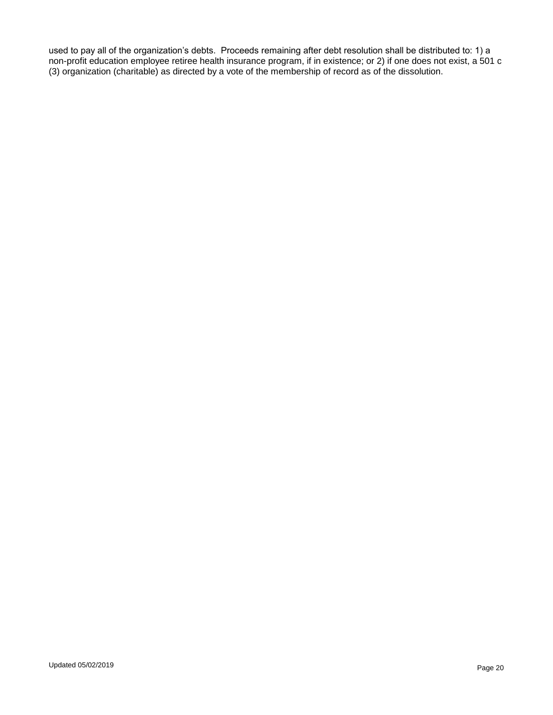used to pay all of the organization's debts. Proceeds remaining after debt resolution shall be distributed to: 1) a non-profit education employee retiree health insurance program, if in existence; or 2) if one does not exist, a 501 c (3) organization (charitable) as directed by a vote of the membership of record as of the dissolution.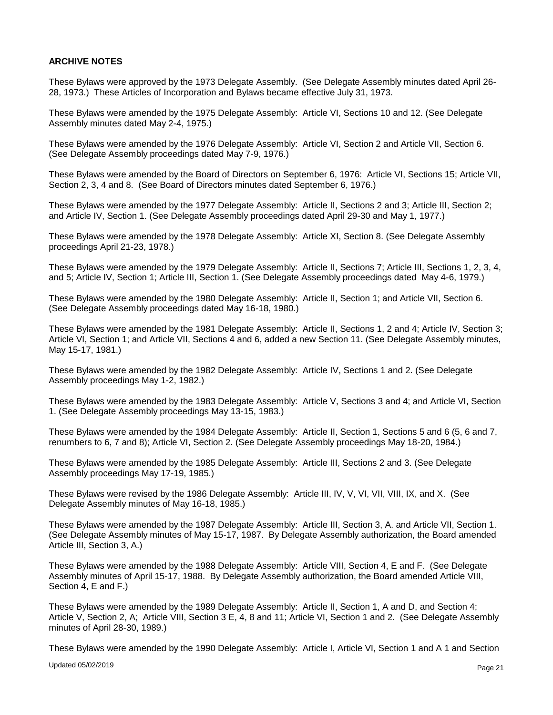### **ARCHIVE NOTES**

These Bylaws were approved by the 1973 Delegate Assembly. (See Delegate Assembly minutes dated April 26- 28, 1973.) These Articles of Incorporation and Bylaws became effective July 31, 1973.

These Bylaws were amended by the 1975 Delegate Assembly: Article VI, Sections 10 and 12. (See Delegate Assembly minutes dated May 2-4, 1975.)

These Bylaws were amended by the 1976 Delegate Assembly: Article VI, Section 2 and Article VII, Section 6. (See Delegate Assembly proceedings dated May 7-9, 1976.)

These Bylaws were amended by the Board of Directors on September 6, 1976: Article VI, Sections 15; Article VII, Section 2, 3, 4 and 8. (See Board of Directors minutes dated September 6, 1976.)

These Bylaws were amended by the 1977 Delegate Assembly: Article II, Sections 2 and 3; Article III, Section 2; and Article IV, Section 1. (See Delegate Assembly proceedings dated April 29-30 and May 1, 1977.)

These Bylaws were amended by the 1978 Delegate Assembly: Article XI, Section 8. (See Delegate Assembly proceedings April 21-23, 1978.)

These Bylaws were amended by the 1979 Delegate Assembly: Article II, Sections 7; Article III, Sections 1, 2, 3, 4, and 5; Article IV, Section 1; Article III, Section 1. (See Delegate Assembly proceedings dated May 4-6, 1979.)

These Bylaws were amended by the 1980 Delegate Assembly: Article II, Section 1; and Article VII, Section 6. (See Delegate Assembly proceedings dated May 16-18, 1980.)

These Bylaws were amended by the 1981 Delegate Assembly: Article II, Sections 1, 2 and 4; Article IV, Section 3; Article VI, Section 1; and Article VII, Sections 4 and 6, added a new Section 11. (See Delegate Assembly minutes, May 15-17, 1981.)

These Bylaws were amended by the 1982 Delegate Assembly: Article IV, Sections 1 and 2. (See Delegate Assembly proceedings May 1-2, 1982.)

These Bylaws were amended by the 1983 Delegate Assembly: Article V, Sections 3 and 4; and Article VI, Section 1. (See Delegate Assembly proceedings May 13-15, 1983.)

These Bylaws were amended by the 1984 Delegate Assembly: Article II, Section 1, Sections 5 and 6 (5, 6 and 7, renumbers to 6, 7 and 8); Article VI, Section 2. (See Delegate Assembly proceedings May 18-20, 1984.)

These Bylaws were amended by the 1985 Delegate Assembly: Article III, Sections 2 and 3. (See Delegate Assembly proceedings May 17-19, 1985.)

These Bylaws were revised by the 1986 Delegate Assembly: Article III, IV, V, VI, VII, VIII, IX, and X. (See Delegate Assembly minutes of May 16-18, 1985.)

These Bylaws were amended by the 1987 Delegate Assembly: Article III, Section 3, A. and Article VII, Section 1. (See Delegate Assembly minutes of May 15-17, 1987. By Delegate Assembly authorization, the Board amended Article III, Section 3, A.)

These Bylaws were amended by the 1988 Delegate Assembly: Article VIII, Section 4, E and F. (See Delegate Assembly minutes of April 15-17, 1988. By Delegate Assembly authorization, the Board amended Article VIII, Section 4, E and F.)

These Bylaws were amended by the 1989 Delegate Assembly: Article II, Section 1, A and D, and Section 4; Article V, Section 2, A; Article VIII, Section 3 E, 4, 8 and 11; Article VI, Section 1 and 2. (See Delegate Assembly minutes of April 28-30, 1989.)

These Bylaws were amended by the 1990 Delegate Assembly: Article I, Article VI, Section 1 and A 1 and Section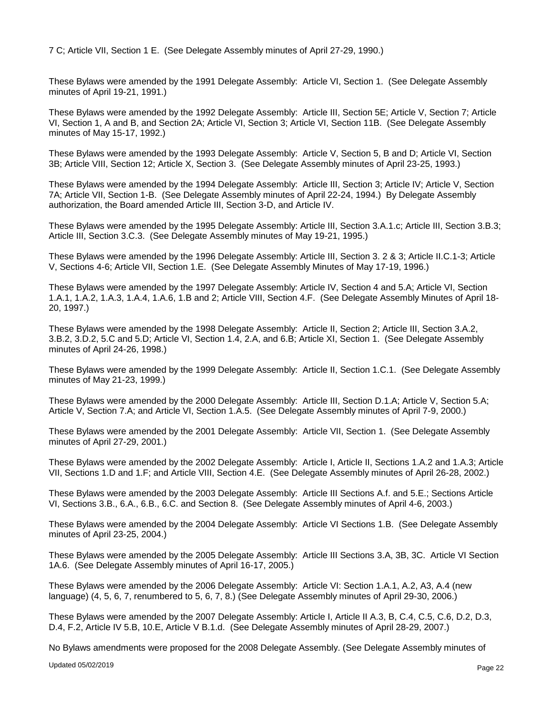7 C; Article VII, Section 1 E. (See Delegate Assembly minutes of April 27-29, 1990.)

These Bylaws were amended by the 1991 Delegate Assembly: Article VI, Section 1. (See Delegate Assembly minutes of April 19-21, 1991.)

These Bylaws were amended by the 1992 Delegate Assembly: Article III, Section 5E; Article V, Section 7; Article VI, Section 1, A and B, and Section 2A; Article VI, Section 3; Article VI, Section 11B. (See Delegate Assembly minutes of May 15-17, 1992.)

These Bylaws were amended by the 1993 Delegate Assembly: Article V, Section 5, B and D; Article VI, Section 3B; Article VIII, Section 12; Article X, Section 3. (See Delegate Assembly minutes of April 23-25, 1993.)

These Bylaws were amended by the 1994 Delegate Assembly: Article III, Section 3; Article IV; Article V, Section 7A; Article VII, Section 1-B. (See Delegate Assembly minutes of April 22-24, 1994.) By Delegate Assembly authorization, the Board amended Article III, Section 3-D, and Article IV.

These Bylaws were amended by the 1995 Delegate Assembly: Article III, Section 3.A.1.c; Article III, Section 3.B.3; Article III, Section 3.C.3. (See Delegate Assembly minutes of May 19-21, 1995.)

These Bylaws were amended by the 1996 Delegate Assembly: Article III, Section 3. 2 & 3; Article II.C.1-3; Article V, Sections 4-6; Article VII, Section 1.E. (See Delegate Assembly Minutes of May 17-19, 1996.)

These Bylaws were amended by the 1997 Delegate Assembly: Article IV, Section 4 and 5.A; Article VI, Section 1.A.1, 1.A.2, 1.A.3, 1.A.4, 1.A.6, 1.B and 2; Article VIII, Section 4.F. (See Delegate Assembly Minutes of April 18- 20, 1997.)

These Bylaws were amended by the 1998 Delegate Assembly: Article II, Section 2; Article III, Section 3.A.2, 3.B.2, 3.D.2, 5.C and 5.D; Article VI, Section 1.4, 2.A, and 6.B; Article XI, Section 1. (See Delegate Assembly minutes of April 24-26, 1998.)

These Bylaws were amended by the 1999 Delegate Assembly: Article II, Section 1.C.1. (See Delegate Assembly minutes of May 21-23, 1999.)

These Bylaws were amended by the 2000 Delegate Assembly: Article III, Section D.1.A; Article V, Section 5.A; Article V, Section 7.A; and Article VI, Section 1.A.5. (See Delegate Assembly minutes of April 7-9, 2000.)

These Bylaws were amended by the 2001 Delegate Assembly: Article VII, Section 1. (See Delegate Assembly minutes of April 27-29, 2001.)

These Bylaws were amended by the 2002 Delegate Assembly: Article I, Article II, Sections 1.A.2 and 1.A.3; Article VII, Sections 1.D and 1.F; and Article VIII, Section 4.E. (See Delegate Assembly minutes of April 26-28, 2002.)

These Bylaws were amended by the 2003 Delegate Assembly: Article III Sections A.f. and 5.E.; Sections Article VI, Sections 3.B., 6.A., 6.B., 6.C. and Section 8. (See Delegate Assembly minutes of April 4-6, 2003.)

These Bylaws were amended by the 2004 Delegate Assembly: Article VI Sections 1.B. (See Delegate Assembly minutes of April 23-25, 2004.)

These Bylaws were amended by the 2005 Delegate Assembly: Article III Sections 3.A, 3B, 3C. Article VI Section 1A.6. (See Delegate Assembly minutes of April 16-17, 2005.)

These Bylaws were amended by the 2006 Delegate Assembly: Article VI: Section 1.A.1, A.2, A3, A.4 (new language) (4, 5, 6, 7, renumbered to 5, 6, 7, 8.) (See Delegate Assembly minutes of April 29-30, 2006.)

These Bylaws were amended by the 2007 Delegate Assembly: Article I, Article II A.3, B, C.4, C.5, C.6, D.2, D.3, D.4, F.2, Article IV 5.B, 10.E, Article V B.1.d. (See Delegate Assembly minutes of April 28-29, 2007.)

No Bylaws amendments were proposed for the 2008 Delegate Assembly. (See Delegate Assembly minutes of

Updated 05/02/2019 Page 22